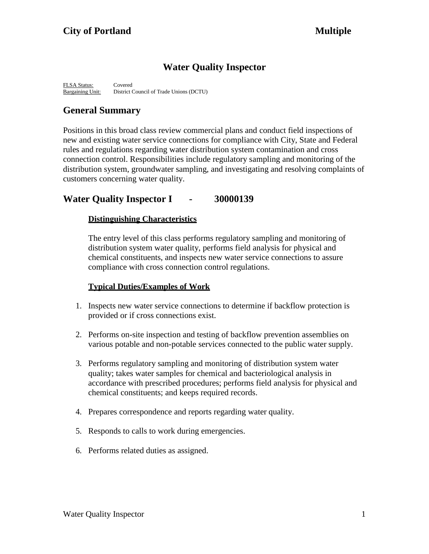# **Water Quality Inspector**

FLSA Status: Covered Bargaining Unit: District Council of Trade Unions (DCTU)

# **General Summary**

Positions in this broad class review commercial plans and conduct field inspections of new and existing water service connections for compliance with City, State and Federal rules and regulations regarding water distribution system contamination and cross connection control. Responsibilities include regulatory sampling and monitoring of the distribution system, groundwater sampling, and investigating and resolving complaints of customers concerning water quality.

# **Water Quality Inspector I - 30000139**

### **Distinguishing Characteristics**

The entry level of this class performs regulatory sampling and monitoring of distribution system water quality, performs field analysis for physical and chemical constituents, and inspects new water service connections to assure compliance with cross connection control regulations.

# **Typical Duties/Examples of Work**

- 1. Inspects new water service connections to determine if backflow protection is provided or if cross connections exist.
- 2. Performs on-site inspection and testing of backflow prevention assemblies on various potable and non-potable services connected to the public water supply.
- 3. Performs regulatory sampling and monitoring of distribution system water quality; takes water samples for chemical and bacteriological analysis in accordance with prescribed procedures; performs field analysis for physical and chemical constituents; and keeps required records.
- 4. Prepares correspondence and reports regarding water quality.
- 5. Responds to calls to work during emergencies.
- 6. Performs related duties as assigned.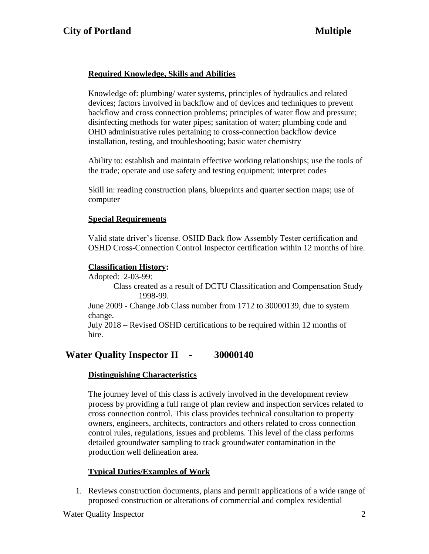# **Required Knowledge, Skills and Abilities**

Knowledge of: plumbing/ water systems, principles of hydraulics and related devices; factors involved in backflow and of devices and techniques to prevent backflow and cross connection problems; principles of water flow and pressure; disinfecting methods for water pipes; sanitation of water; plumbing code and OHD administrative rules pertaining to cross-connection backflow device installation, testing, and troubleshooting; basic water chemistry

Ability to: establish and maintain effective working relationships; use the tools of the trade; operate and use safety and testing equipment; interpret codes

Skill in: reading construction plans, blueprints and quarter section maps; use of computer

### **Special Requirements**

Valid state driver's license. OSHD Back flow Assembly Tester certification and OSHD Cross-Connection Control Inspector certification within 12 months of hire.

### **Classification History:**

Adopted: 2-03-99:

Class created as a result of DCTU Classification and Compensation Study 1998-99.

June 2009 - Change Job Class number from 1712 to 30000139, due to system change.

July 2018 – Revised OSHD certifications to be required within 12 months of hire.

# **Water Quality Inspector II - 30000140**

### **Distinguishing Characteristics**

The journey level of this class is actively involved in the development review process by providing a full range of plan review and inspection services related to cross connection control. This class provides technical consultation to property owners, engineers, architects, contractors and others related to cross connection control rules, regulations, issues and problems. This level of the class performs detailed groundwater sampling to track groundwater contamination in the production well delineation area.

# **Typical Duties/Examples of Work**

1. Reviews construction documents, plans and permit applications of a wide range of proposed construction or alterations of commercial and complex residential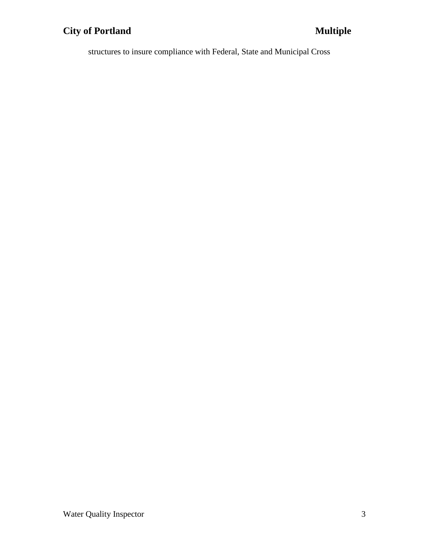# **City of Portland Multiple**

structures to insure compliance with Federal, State and Municipal Cross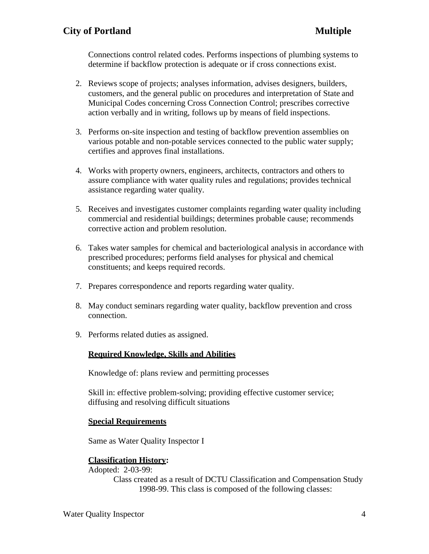Connections control related codes. Performs inspections of plumbing systems to determine if backflow protection is adequate or if cross connections exist.

- 2. Reviews scope of projects; analyses information, advises designers, builders, customers, and the general public on procedures and interpretation of State and Municipal Codes concerning Cross Connection Control; prescribes corrective action verbally and in writing, follows up by means of field inspections.
- 3. Performs on-site inspection and testing of backflow prevention assemblies on various potable and non-potable services connected to the public water supply; certifies and approves final installations.
- 4. Works with property owners, engineers, architects, contractors and others to assure compliance with water quality rules and regulations; provides technical assistance regarding water quality.
- 5. Receives and investigates customer complaints regarding water quality including commercial and residential buildings; determines probable cause; recommends corrective action and problem resolution.
- 6. Takes water samples for chemical and bacteriological analysis in accordance with prescribed procedures; performs field analyses for physical and chemical constituents; and keeps required records.
- 7. Prepares correspondence and reports regarding water quality.
- 8. May conduct seminars regarding water quality, backflow prevention and cross connection.
- 9. Performs related duties as assigned.

# **Required Knowledge, Skills and Abilities**

Knowledge of: plans review and permitting processes

Skill in: effective problem-solving; providing effective customer service; diffusing and resolving difficult situations

### **Special Requirements**

Same as Water Quality Inspector I

### **Classification History:**

Adopted: 2-03-99:

Class created as a result of DCTU Classification and Compensation Study 1998-99. This class is composed of the following classes: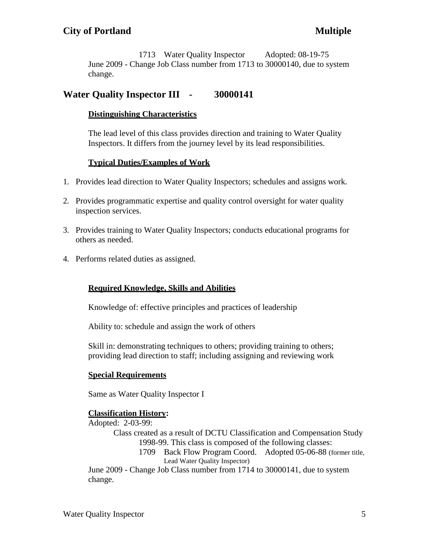1713 Water Quality Inspector Adopted: 08-19-75 June 2009 - Change Job Class number from 1713 to 30000140, due to system change.

# **Water Quality Inspector III - 30000141**

### **Distinguishing Characteristics**

The lead level of this class provides direction and training to Water Quality Inspectors. It differs from the journey level by its lead responsibilities.

### **Typical Duties/Examples of Work**

- 1. Provides lead direction to Water Quality Inspectors; schedules and assigns work.
- 2. Provides programmatic expertise and quality control oversight for water quality inspection services.
- 3. Provides training to Water Quality Inspectors; conducts educational programs for others as needed.
- 4. Performs related duties as assigned.

# **Required Knowledge, Skills and Abilities**

Knowledge of: effective principles and practices of leadership

Ability to: schedule and assign the work of others

Skill in: demonstrating techniques to others; providing training to others; providing lead direction to staff; including assigning and reviewing work

### **Special Requirements**

Same as Water Quality Inspector I

# **Classification History:**

Adopted: 2-03-99:

- Class created as a result of DCTU Classification and Compensation Study 1998-99. This class is composed of the following classes:
	- 1709 Back Flow Program Coord. Adopted 05-06-88 (former title, Lead Water Quality Inspector)

June 2009 - Change Job Class number from 1714 to 30000141, due to system change.